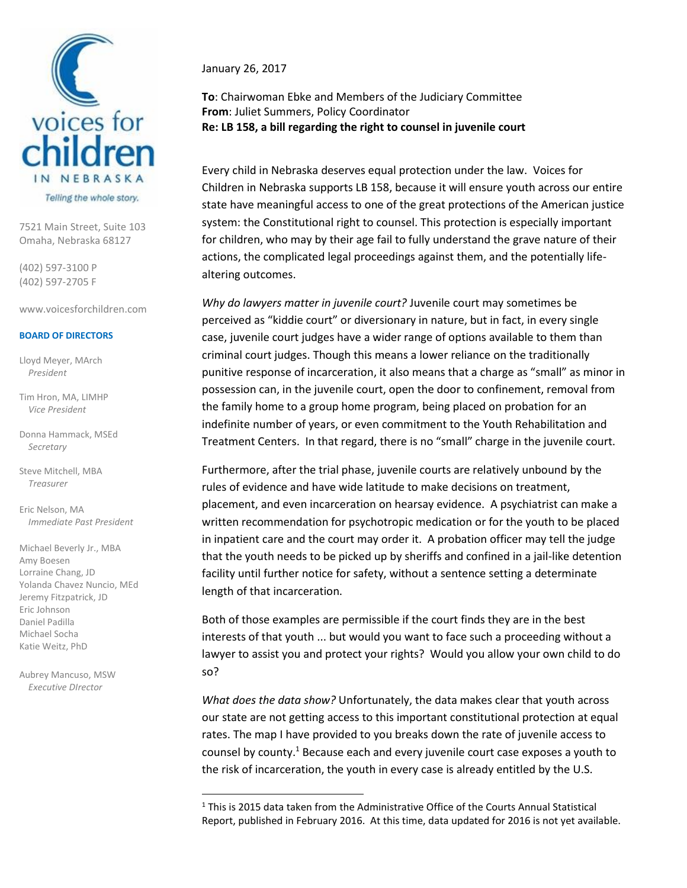

7521 Main Street, Suite 103 Omaha, Nebraska 68127

(402) 597-3100 P (402) 597-2705 F

www.voicesforchildren.com

## **BOARD OF DIRECTORS**

Lloyd Meyer, MArch *President*

Tim Hron, MA, LIMHP *Vice President*

Donna Hammack, MSEd *Secretary*

Steve Mitchell, MBA *Treasurer*

Eric Nelson, MA *Immediate Past President*

Michael Beverly Jr., MBA Amy Boesen Lorraine Chang, JD Yolanda Chavez Nuncio, MEd Jeremy Fitzpatrick, JD Eric Johnson Daniel Padilla Michael Socha Katie Weitz, PhD

Aubrey Mancuso, MSW *Executive DIrector*

l

January 26, 2017

**To**: Chairwoman Ebke and Members of the Judiciary Committee **From**: Juliet Summers, Policy Coordinator **Re: LB 158, a bill regarding the right to counsel in juvenile court**

Every child in Nebraska deserves equal protection under the law. Voices for Children in Nebraska supports LB 158, because it will ensure youth across our entire state have meaningful access to one of the great protections of the American justice system: the Constitutional right to counsel. This protection is especially important for children, who may by their age fail to fully understand the grave nature of their actions, the complicated legal proceedings against them, and the potentially lifealtering outcomes.

*Why do lawyers matter in juvenile court?* Juvenile court may sometimes be perceived as "kiddie court" or diversionary in nature, but in fact, in every single case, juvenile court judges have a wider range of options available to them than criminal court judges. Though this means a lower reliance on the traditionally punitive response of incarceration, it also means that a charge as "small" as minor in possession can, in the juvenile court, open the door to confinement, removal from the family home to a group home program, being placed on probation for an indefinite number of years, or even commitment to the Youth Rehabilitation and Treatment Centers. In that regard, there is no "small" charge in the juvenile court.

Furthermore, after the trial phase, juvenile courts are relatively unbound by the rules of evidence and have wide latitude to make decisions on treatment, placement, and even incarceration on hearsay evidence. A psychiatrist can make a written recommendation for psychotropic medication or for the youth to be placed in inpatient care and the court may order it. A probation officer may tell the judge that the youth needs to be picked up by sheriffs and confined in a jail-like detention facility until further notice for safety, without a sentence setting a determinate length of that incarceration.

Both of those examples are permissible if the court finds they are in the best interests of that youth ... but would you want to face such a proceeding without a lawyer to assist you and protect your rights? Would you allow your own child to do so?

*What does the data show?* Unfortunately, the data makes clear that youth across our state are not getting access to this important constitutional protection at equal rates. The map I have provided to you breaks down the rate of juvenile access to counsel by county.<sup>1</sup> Because each and every juvenile court case exposes a youth to the risk of incarceration, the youth in every case is already entitled by the U.S.

 $1$  This is 2015 data taken from the Administrative Office of the Courts Annual Statistical Report, published in February 2016. At this time, data updated for 2016 is not yet available.